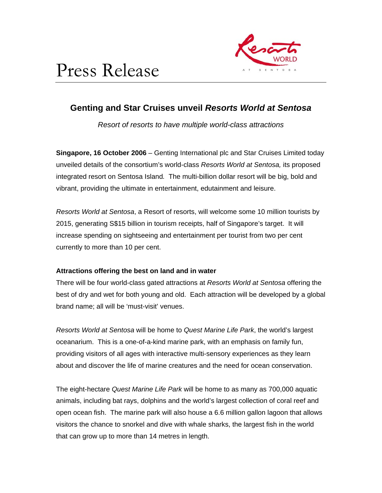



# **Genting and Star Cruises unveil** *Resorts World at Sentosa*

*Resort of resorts to have multiple world-class attractions* 

**Singapore, 16 October 2006** – Genting International plc and Star Cruises Limited today unveiled details of the consortium's world-class *Resorts World at Sentosa,* its proposed integrated resort on Sentosa Island*.* The multi-billion dollar resort will be big, bold and vibrant, providing the ultimate in entertainment, edutainment and leisure.

*Resorts World at Sentosa*, a Resort of resorts, will welcome some 10 million tourists by 2015, generating S\$15 billion in tourism receipts, half of Singapore's target. It will increase spending on sightseeing and entertainment per tourist from two per cent currently to more than 10 per cent.

## **Attractions offering the best on land and in water**

There will be four world-class gated attractions at *Resorts World at Sentosa* offering the best of dry and wet for both young and old. Each attraction will be developed by a global brand name; all will be 'must-visit' venues.

*Resorts World at Sentosa* will be home to *Quest Marine Life Park*, the world's largest oceanarium. This is a one-of-a-kind marine park, with an emphasis on family fun, providing visitors of all ages with interactive multi-sensory experiences as they learn about and discover the life of marine creatures and the need for ocean conservation.

The eight-hectare *Quest Marine Life Park* will be home to as many as 700,000 aquatic animals, including bat rays, dolphins and the world's largest collection of coral reef and open ocean fish. The marine park will also house a 6.6 million gallon lagoon that allows visitors the chance to snorkel and dive with whale sharks, the largest fish in the world that can grow up to more than 14 metres in length.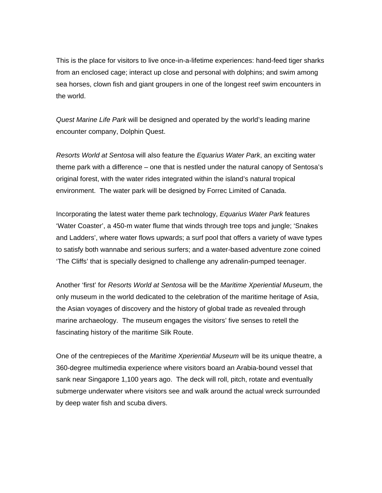This is the place for visitors to live once-in-a-lifetime experiences: hand-feed tiger sharks from an enclosed cage; interact up close and personal with dolphins; and swim among sea horses, clown fish and giant groupers in one of the longest reef swim encounters in the world.

*Quest Marine Life Park* will be designed and operated by the world's leading marine encounter company, Dolphin Quest.

*Resorts World at Sentosa* will also feature the *Equarius Water Park*, an exciting water theme park with a difference – one that is nestled under the natural canopy of Sentosa's original forest, with the water rides integrated within the island's natural tropical environment. The water park will be designed by Forrec Limited of Canada.

Incorporating the latest water theme park technology, *Equarius Water Park* features 'Water Coaster', a 450-m water flume that winds through tree tops and jungle; 'Snakes and Ladders', where water flows upwards; a surf pool that offers a variety of wave types to satisfy both wannabe and serious surfers; and a water-based adventure zone coined 'The Cliffs' that is specially designed to challenge any adrenalin-pumped teenager.

Another 'first' for *Resorts World at Sentosa* will be the *Maritime Xperiential Museum*, the only museum in the world dedicated to the celebration of the maritime heritage of Asia, the Asian voyages of discovery and the history of global trade as revealed through marine archaeology. The museum engages the visitors' five senses to retell the fascinating history of the maritime Silk Route.

One of the centrepieces of the *Maritime Xperiential Museum* will be its unique theatre, a 360-degree multimedia experience where visitors board an Arabia-bound vessel that sank near Singapore 1,100 years ago. The deck will roll, pitch, rotate and eventually submerge underwater where visitors see and walk around the actual wreck surrounded by deep water fish and scuba divers.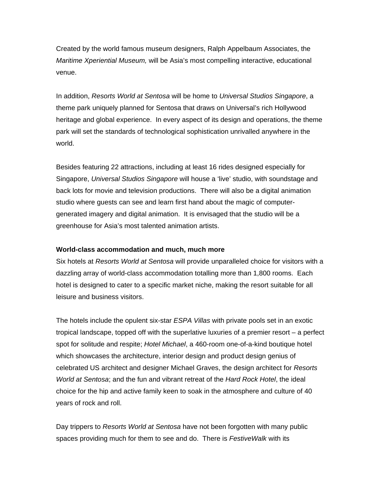Created by the world famous museum designers, Ralph Appelbaum Associates, the *Maritime Xperiential Museum,* will be Asia's most compelling interactive, educational venue.

In addition, *Resorts World at Sentosa* will be home to *Universal Studios Singapore*, a theme park uniquely planned for Sentosa that draws on Universal's rich Hollywood heritage and global experience. In every aspect of its design and operations, the theme park will set the standards of technological sophistication unrivalled anywhere in the world.

Besides featuring 22 attractions, including at least 16 rides designed especially for Singapore, *Universal Studios Singapore* will house a 'live' studio, with soundstage and back lots for movie and television productions. There will also be a digital animation studio where guests can see and learn first hand about the magic of computergenerated imagery and digital animation. It is envisaged that the studio will be a greenhouse for Asia's most talented animation artists.

### **World-class accommodation and much, much more**

Six hotels at *Resorts World at Sentosa* will provide unparalleled choice for visitors with a dazzling array of world-class accommodation totalling more than 1,800 rooms. Each hotel is designed to cater to a specific market niche, making the resort suitable for all leisure and business visitors.

The hotels include the opulent six-star *ESPA Villas* with private pools set in an exotic tropical landscape, topped off with the superlative luxuries of a premier resort – a perfect spot for solitude and respite; *Hotel Michael*, a 460-room one-of-a-kind boutique hotel which showcases the architecture, interior design and product design genius of celebrated US architect and designer Michael Graves, the design architect for *Resorts World at Sentosa*; and the fun and vibrant retreat of the *Hard Rock Hotel*, the ideal choice for the hip and active family keen to soak in the atmosphere and culture of 40 years of rock and roll.

Day trippers to *Resorts World at Sentosa* have not been forgotten with many public spaces providing much for them to see and do. There is *FestiveWalk* with its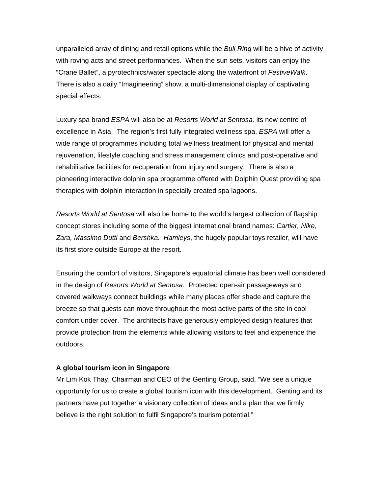unparalleled array of dining and retail options while the *Bull Ring* will be a hive of activity with roving acts and street performances. When the sun sets, visitors can enjoy the "Crane Ballet", a pyrotechnics/water spectacle along the waterfront of *FestiveWalk*. There is also a daily "Imagineering" show, a multi-dimensional display of captivating special effects.

Luxury spa brand *ESPA* will also be at *Resorts World at Sentosa,* its new centre of excellence in Asia. The region's first fully integrated wellness spa, *ESPA* will offer a wide range of programmes including total wellness treatment for physical and mental rejuvenation, lifestyle coaching and stress management clinics and post-operative and rehabilitative facilities for recuperation from injury and surgery. There is also a pioneering interactive dolphin spa programme offered with Dolphin Quest providing spa therapies with dolphin interaction in specially created spa lagoons.

*Resorts World at Sentosa* will also be home to the world's largest collection of flagship concept stores including some of the biggest international brand names: *Cartier, Nike, Zara, Massimo Dutti* and *Bershka. Hamleys*, the hugely popular toys retailer, will have its first store outside Europe at the resort.

Ensuring the comfort of visitors, Singapore's equatorial climate has been well considered in the design of *Resorts World at Sentosa*. Protected open-air passageways and covered walkways connect buildings while many places offer shade and capture the breeze so that guests can move throughout the most active parts of the site in cool comfort under cover. The architects have generously employed design features that provide protection from the elements while allowing visitors to feel and experience the outdoors.

### **A global tourism icon in Singapore**

Mr Lim Kok Thay, Chairman and CEO of the Genting Group, said, "We see a unique opportunity for us to create a global tourism icon with this development. Genting and its partners have put together a visionary collection of ideas and a plan that we firmly believe is the right solution to fulfil Singapore's tourism potential."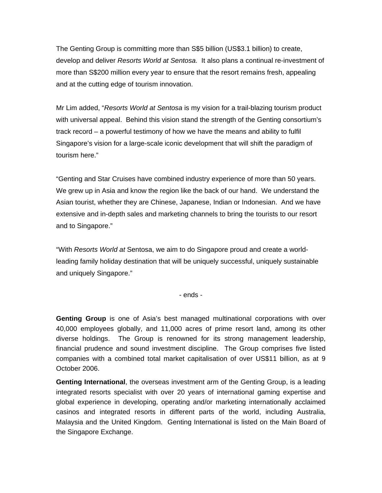The Genting Group is committing more than S\$5 billion (US\$3.1 billion) to create, develop and deliver *Resorts World at Sentosa.* It also plans a continual re-investment of more than S\$200 million every year to ensure that the resort remains fresh, appealing and at the cutting edge of tourism innovation.

Mr Lim added, "*Resorts World at Sentosa* is my vision for a trail-blazing tourism product with universal appeal. Behind this vision stand the strength of the Genting consortium's track record – a powerful testimony of how we have the means and ability to fulfil Singapore's vision for a large-scale iconic development that will shift the paradigm of tourism here."

"Genting and Star Cruises have combined industry experience of more than 50 years. We grew up in Asia and know the region like the back of our hand. We understand the Asian tourist, whether they are Chinese, Japanese, Indian or Indonesian. And we have extensive and in-depth sales and marketing channels to bring the tourists to our resort and to Singapore."

"With *Resorts World at* Sentosa, we aim to do Singapore proud and create a worldleading family holiday destination that will be uniquely successful, uniquely sustainable and uniquely Singapore."

- ends -

**Genting Group** is one of Asia's best managed multinational corporations with over 40,000 employees globally, and 11,000 acres of prime resort land, among its other diverse holdings. The Group is renowned for its strong management leadership, financial prudence and sound investment discipline. The Group comprises five listed companies with a combined total market capitalisation of over US\$11 billion, as at 9 October 2006.

**Genting International**, the overseas investment arm of the Genting Group, is a leading integrated resorts specialist with over 20 years of international gaming expertise and global experience in developing, operating and/or marketing internationally acclaimed casinos and integrated resorts in different parts of the world, including Australia, Malaysia and the United Kingdom. Genting International is listed on the Main Board of the Singapore Exchange.